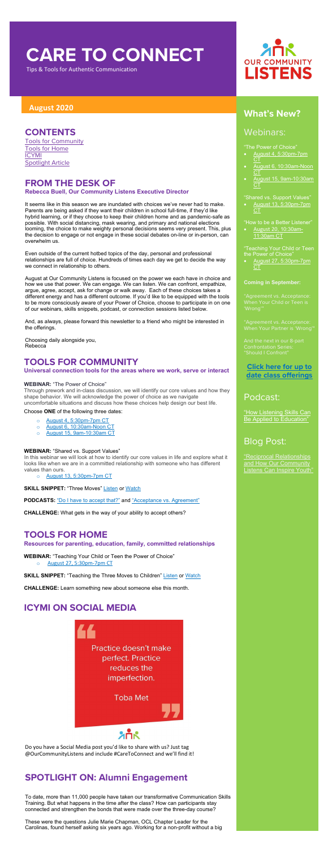# **CARE TO CONNECT**

Tips & Tools for Authentic Communication

- [August 4, 5:30pm-7pm](https://attendee.gototraining.com/r/8400515534956533762)  [CT](https://attendee.gototraining.com/r/8400515534956533762)
- August 6, 10:30am-Noon **[CT](https://us02web.zoom.us/meeting/register/tZMvdOypqzMvGdx-a6AFCmhEKjuBV23RhkoV)**
- [August 15, 9am-10:30am](https://attendee.gototraining.com/r/3363685753465410305)  **[CT](https://attendee.gototraining.com/r/3363685753465410305)**

# **August <sup>2020</sup> What's New?**

#### Webinars:

"The Power of Choice"

• [August 27, 5:30pm-7pm](https://attendee.gototraining.com/r/1455721915986632193)  **[CT](https://attendee.gototraining.com/r/1455721915986632193)** 

"Shared vs. Support Values"

• [August 13, 5:30pm-7pm](https://attendee.gototraining.com/r/1484026643820547329)  [CT](https://attendee.gototraining.com/r/1484026643820547329)

"How to be a Better Listener"

• [August 20](https://us02web.zoom.us/meeting/register/tZArduitrjMsHtch7NS2a65OWxvyU8qmjAcA), 10:30a[m-](https://us02web.zoom.us/meeting/register/tZArduitrjMsHtch7NS2a65OWxvyU8qmjAcA)[11:30am CT](https://us02web.zoom.us/meeting/register/tZArduitrjMsHtch7NS2a65OWxvyU8qmjAcA)

["How Listening Skills Can](https://soundcloud.com/ourcommunitylistens/epi-051)  [Be Applied to Education"](https://soundcloud.com/ourcommunitylistens/epi-051)

"Teaching Your Child or Teen the Power of Choice"

#### **Coming in September:**

"Should I Confront"

#### **[Click here for up to](http://www.ourcommunitylistens.org/events)  [date class offerings](http://www.ourcommunitylistens.org/events)**

#### Podcast:

# Blog Post:

["Reciprocal Relationships](https://www.ourcommunitylistens.org/blog/post/ocl/2020/07/20/reciprocal-relationships-and-how-our-community-listens-can-inspire-youth)  [and How Our Community](https://www.ourcommunitylistens.org/blog/post/ocl/2020/07/20/reciprocal-relationships-and-how-our-community-listens-can-inspire-youth)  [Listens Can Inspire Youth"](https://www.ourcommunitylistens.org/blog/post/ocl/2020/07/20/reciprocal-relationships-and-how-our-community-listens-can-inspire-youth)

**SKILL SNIPPET:** "Three Moves" [Listen](https://soundcloud.com/ourcommunitylistens/mini-refresher-the-three-moves) or [Watch](https://youtu.be/3z17Rz_iSV8)

**PODCASTS:** ["Do I have to accept that?"](https://soundcloud.com/ourcommunitylistens/epi011) and ["Acceptance vs. Agreement"](https://soundcloud.com/ourcommunitylistens/epi-050)

#### **CONTENTS**

[Tools for Community](#page-0-0) [Tools for Home](#page-0-1) [ICYMI](#page-0-2) [Spotlight Article](#page-0-3)

# **FROM THE DESK OF**

**Rebecca Buell, Our Community Listens Executive Director**

It seems like in this season we are inundated with choices we've never had to make. Parents are being asked if they want their children in school full-time, if they'd like hybrid learning, or if they choose to keep their children home and as pandemic-safe as possible. With social distancing, mask wearing, and primary and national elections looming, the choice to make weighty personal decisions seems very present. This, plus the decision to engage or not engage in these social debates on-line or in-person, can overwhelm us.

Even outside of the current hotbed topics of the day, personal and professional relationships are full of choice. Hundreds of times each day we get to decide the way we connect in relationship to others.

**WEBINAR:** "Teaching Your Child or Teen the Power of Choice" [August 27, 5:30pm-7pm CT](https://attendee.gototraining.com/r/1455721915986632193)

**SKILL SNIPPET:** "Teaching the Three Moves to Children" [Listen](https://soundcloud.com/ourcommunitylistens/ss-teaching-your-child-the-3-moves) or [Watch](https://www.youtube.com/watch?v=IjVaUPskQEI&feature=youtu.be)

August at Our Community Listens is focused on the power we each have in choice and how we use that power. We can engage. We can listen. We can confront, empathize, argue, agree, accept, ask for change or walk away. Each of these choices takes a different energy and has a different outcome. If you'd like to be equipped with the tools to be more consciously aware of your Power of Choice, choose to participate in on one of our webinars, skills snippets, podcast, or connection sessions listed below.

And, as always, please forward this newsletter to a friend who might be interested in the offerings.

Choosing daily alongside you, Rebecca

## <span id="page-0-0"></span>**TOOLS FOR COMMUNITY**

**Universal connection tools for the areas where we work, serve or interact**

#### **WEBINAR:** "The Power of Choice"

Through prework and in-class discussion, we will identify our core values and how they shape behavior. We will acknowledge the power of choice as we navigate uncomfortable situations and discuss how these choices help design our best life.

#### Choose **ONE** of the following three dates:

- o [August 4, 5:30pm-7pm CT](https://attendee.gototraining.com/r/8400515534956533762)
- $\begin{array}{ll}\n\circ & \text{August 6, 10:30am-Noon CT} \\
\circ & \text{August 15. 9am-10:30am CT}\n\end{array}$  $\begin{array}{ll}\n\circ & \text{August 6, 10:30am-Noon CT} \\
\circ & \text{August 15. 9am-10:30am CT}\n\end{array}$  $\begin{array}{ll}\n\circ & \text{August 6, 10:30am-Noon CT} \\
\circ & \text{August 15. 9am-10:30am CT}\n\end{array}$
- o [August 15, 9am-10:30am CT](https://attendee.gototraining.com/r/3363685753465410305)

#### **WEBINAR:** "Shared vs. Support Values"

In this webinar we will look at how to identify our core values in life and explore what it looks like when we are in a committed relationship with someone who has different values than ours.

o [August 13, 5:30pm-7pm CT](https://attendee.gototraining.com/r/1484026643820547329)



**CHALLENGE:** What gets in the way of your ability to accept others?

#### <span id="page-0-1"></span>**TOOLS FOR HOME**

**Resources for parenting, education, family, committed relationships**

**CHALLENGE:** Learn something new about someone else this month.

#### <span id="page-0-2"></span>**ICYMI ON SOCIAL MEDIA**



Do you have a Social Media post you'd like to share with us? Just tag @OurCommunityListens and include #CareToConnect and we'll find it!

## <span id="page-0-3"></span>**SPOTLIGHT ON: Alumni Engagement**

To date, more than 11,000 people have taken our transformative Communication Skills Training. But what happens in the time after the class? How can participants stay connected and strengthen the bonds that were made over the three-day course?

These were the questions Julie Marie Chapman, OCL Chapter Leader for the Carolinas, found herself asking six years ago. Working for a non-profit without a big